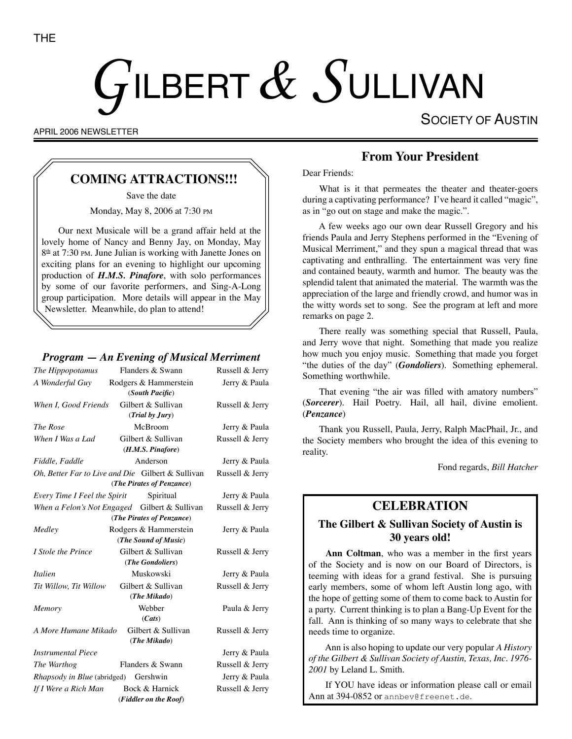# $G$ ILBERT $\,\mathscr{L}\,$   $S$ ullivan

SOCIETY OF AUSTIN

APRIL 2006 NEWSLETTER

## **COMING ATTRACTIONS!!!**

Save the date

Monday, May 8, 2006 at 7:30 PM

Our next Musicale will be a grand affair held at the lovely home of Nancy and Benny Jay, on Monday, May  $8<sup>th</sup>$  at 7:30 PM. June Julian is working with Janette Jones on exciting plans for an evening to highlight our upcoming production of *H.M.S. Pinafore*, with solo performances by some of our favorite performers, and Sing-A-Long group participation. More details will appear in the May Newsletter. Meanwhile, do plan to attend!

#### *Program — An Evening of Musical Merriment*

| The Hippopotamus                            | Flanders & Swann                                                               | Russell & Jerry |
|---------------------------------------------|--------------------------------------------------------------------------------|-----------------|
| A Wonderful Guy                             | Rodgers & Hammerstein<br>(South Pacific)                                       | Jerry & Paula   |
| When I, Good Friends                        | Gilbert & Sullivan<br>(Trial by Jury)                                          | Russell & Jerry |
| The Rose                                    | McBroom                                                                        | Jerry & Paula   |
| When I Was a Lad                            | Gilbert & Sullivan<br>(H.M.S. Pinafore)                                        | Russell & Jerry |
| Fiddle, Faddle                              | Anderson                                                                       | Jerry & Paula   |
|                                             | Oh, Better Far to Live and Die Gilbert & Sullivan<br>(The Pirates of Penzance) | Russell & Jerry |
| Every Time I Feel the Spirit                | Spiritual                                                                      | Jerry & Paula   |
|                                             | When a Felon's Not Engaged Gilbert & Sullivan<br>(The Pirates of Penzance)     | Russell & Jerry |
| Medley                                      | Rodgers & Hammerstein<br>(The Sound of Music)                                  | Jerry & Paula   |
| I Stole the Prince                          | Gilbert & Sullivan<br>(The Gondoliers)                                         | Russell & Jerry |
| <b>Italien</b>                              | Muskowski                                                                      | Jerry & Paula   |
| Tit Willow, Tit Willow                      | Gilbert & Sullivan<br>(The Mikado)                                             | Russell & Jerry |
| Memory                                      | Webber<br>(Cats)                                                               | Paula & Jerry   |
| A More Humane Mikado                        | Gilbert & Sullivan<br>(The Mikado)                                             | Russell & Jerry |
| <b>Instrumental Piece</b>                   |                                                                                | Jerry & Paula   |
| The Warthog                                 | Flanders & Swann                                                               | Russell & Jerry |
| <i>Rhapsody in Blue</i> (abridged) Gershwin |                                                                                | Jerry & Paula   |
| If I Were a Rich Man                        | Bock & Harnick<br>(Fiddler on the Roof)                                        | Russell & Jerry |

#### **From Your President**

Dear Friends:

What is it that permeates the theater and theater-goers during a captivating performance? I've heard it called "magic", as in "go out on stage and make the magic.".

A few weeks ago our own dear Russell Gregory and his friends Paula and Jerry Stephens performed in the "Evening of Musical Merriment," and they spun a magical thread that was captivating and enthralling. The entertainment was very fine and contained beauty, warmth and humor. The beauty was the splendid talent that animated the material. The warmth was the appreciation of the large and friendly crowd, and humor was in the witty words set to song. See the program at left and more remarks on page 2.

There really was something special that Russell, Paula, and Jerry wove that night. Something that made you realize how much you enjoy music. Something that made you forget "the duties of the day" (*Gondoliers*). Something ephemeral. Something worthwhile.

That evening "the air was filled with amatory numbers" (*Sorcerer*). Hail Poetry. Hail, all hail, divine emolient. (*Penzance*)

Thank you Russell, Paula, Jerry, Ralph MacPhail, Jr., and the Society members who brought the idea of this evening to reality.

Fond regards, *Bill Hatcher*

## **CELEBRATION**

#### **The Gilbert & Sullivan Society of Austin is 30 years old!**

**Ann Coltman**, who was a member in the first years of the Society and is now on our Board of Directors, is teeming with ideas for a grand festival. She is pursuing early members, some of whom left Austin long ago, with the hope of getting some of them to come back to Austin for a party. Current thinking is to plan a Bang-Up Event for the fall. Ann is thinking of so many ways to celebrate that she needs time to organize.

Ann is also hoping to update our very popular *A History of the Gilbert & Sullivan Society of Austin, Texas, Inc. 1976- 2001* by Leland L. Smith.

If YOU have ideas or information please call or email Ann at 394-0852 or annbev@freenet.de.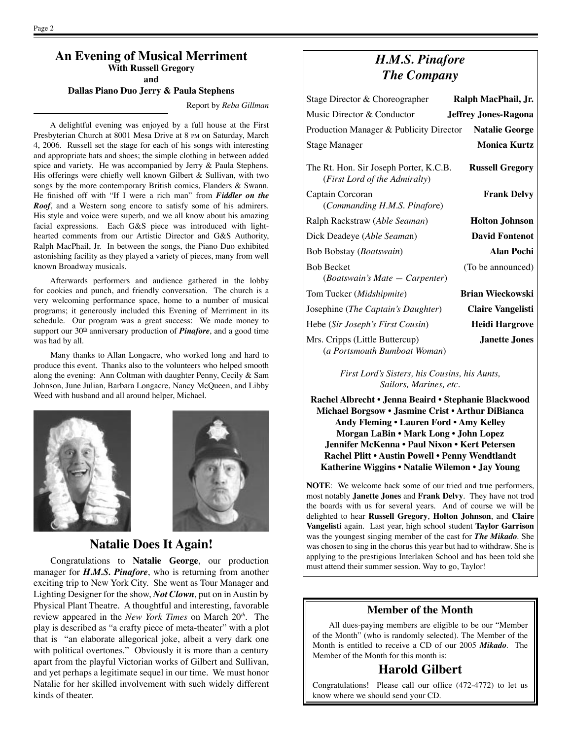#### **An Evening of Musical Merriment With Russell Gregory and**

**Dallas Piano Duo Jerry & Paula Stephens**

Report by *Reba Gillman*

A delightful evening was enjoyed by a full house at the First Presbyterian Church at 8001 Mesa Drive at 8 PM on Saturday, March 4, 2006. Russell set the stage for each of his songs with interesting and appropriate hats and shoes; the simple clothing in between added spice and variety. He was accompanied by Jerry & Paula Stephens. His offerings were chiefly well known Gilbert & Sullivan, with two songs by the more contemporary British comics, Flanders & Swann. He finished off with "If I were a rich man" from *Fiddler on the Roof*, and a Western song encore to satisfy some of his admirers. His style and voice were superb, and we all know about his amazing facial expressions. Each G&S piece was introduced with lighthearted comments from our Artistic Director and G&S Authority, Ralph MacPhail, Jr. In between the songs, the Piano Duo exhibited astonishing facility as they played a variety of pieces, many from well known Broadway musicals.

Afterwards performers and audience gathered in the lobby for cookies and punch, and friendly conversation. The church is a very welcoming performance space, home to a number of musical programs; it generously included this Evening of Merriment in its schedule. Our program was a great success: We made money to support our  $30<sup>th</sup>$  anniversary production of *Pinafore*, and a good time was had by all.

Many thanks to Allan Longacre, who worked long and hard to produce this event. Thanks also to the volunteers who helped smooth along the evening: Ann Coltman with daughter Penny, Cecily & Sam Johnson, June Julian, Barbara Longacre, Nancy McQueen, and Libby Weed with husband and all around helper, Michael.

**Natalie Does It Again!**

Congratulations to **Natalie George**, our production manager for *H.M.S. Pinafore*, who is returning from another exciting trip to New York City. She went as Tour Manager and Lighting Designer for the show, *Not Clown*, put on in Austin by Physical Plant Theatre. A thoughtful and interesting, favorable review appeared in the *New York Times* on March 20*th*. The play is described as "a crafty piece of meta-theater" with a plot that is "an elaborate allegorical joke, albeit a very dark one with political overtones." Obviously it is more than a century apart from the playful Victorian works of Gilbert and Sullivan, and yet perhaps a legitimate sequel in our time. We must honor Natalie for her skilled involvement with such widely different kinds of theater.

## *H.M.S. Pinafore The Company*

| Stage Director & Choreographer                                            | Ralph MacPhail, Jr.         |
|---------------------------------------------------------------------------|-----------------------------|
| Music Director & Conductor                                                | <b>Jeffrey Jones-Ragona</b> |
| Production Manager & Publicity Director                                   | <b>Natalie George</b>       |
| Stage Manager                                                             | <b>Monica Kurtz</b>         |
| The Rt. Hon. Sir Joseph Porter, K.C.B.<br>(First Lord of the Admiralty)   | <b>Russell Gregory</b>      |
| Captain Corcoran<br>(Commanding H.M.S. Pinafore)                          | <b>Frank Delvy</b>          |
| Ralph Rackstraw (Able Seaman)                                             | <b>Holton Johnson</b>       |
| Dick Deadeye (Able Seaman)                                                | <b>David Fontenot</b>       |
| Bob Bobstay ( <i>Boatswain</i> )                                          | Alan Pochi                  |
| <b>Bob Becket</b><br>( <i>Boatswain's Mate <math>-</math> Carpenter</i> ) | (To be announced)           |
| Tom Tucker ( <i>Midshipmite</i> )                                         | <b>Brian Wieckowski</b>     |
| Josephine (The Captain's Daughter)                                        | <b>Claire Vangelisti</b>    |
| Hebe (Sir Joseph's First Cousin)                                          | <b>Heidi Hargrove</b>       |
| Mrs. Cripps (Little Buttercup)<br>(a Portsmouth Bumboat Woman)            | <b>Janette Jones</b>        |

*First Lord's Sisters, his Cousins, his Aunts, Sailors, Marines, etc.*

**Rachel Albrecht • Jenna Beaird • Stephanie Blackwood Michael Borgsow • Jasmine Crist • Arthur DiBianca Andy Fleming • Lauren Ford • Amy Kelley Morgan LaBin • Mark Long • John Lopez Jennifer McKenna • Paul Nixon • Kert Petersen Rachel Plitt • Austin Powell • Penny Wendtlandt Katherine Wiggins • Natalie Wilemon • Jay Young**

**NOTE**: We welcome back some of our tried and true performers, most notably **Janette Jones** and **Frank Delvy**. They have not trod the boards with us for several years. And of course we will be delighted to hear **Russell Gregory**, **Holton Johnson**, and **Claire Vangelisti** again. Last year, high school student **Taylor Garrison**  was the youngest singing member of the cast for *The Mikado*. She was chosen to sing in the chorus this year but had to withdraw. She is applying to the prestigious Interlaken School and has been told she must attend their summer session. Way to go, Taylor!

#### **Member of the Month**

All dues-paying members are eligible to be our "Member of the Month" (who is randomly selected). The Member of the Month is entitled to receive a CD of our 2005 *Mikado*. The Member of the Month for this month is:

#### **Harold Gilbert**

Congratulations! Please call our office (472-4772) to let us know where we should send your CD.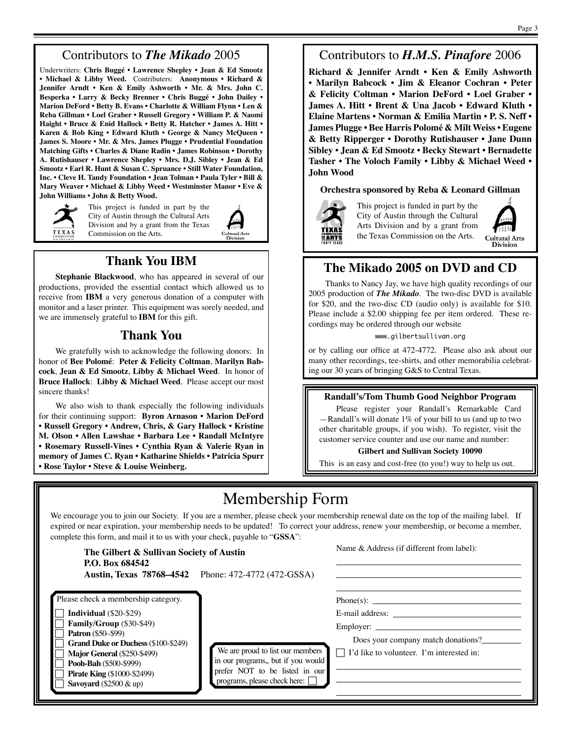## Contributors to *The Mikado* 2005

Underwriters: **Chris Buggé • Lawrence Shepley • Jean & Ed Smootz • Michael & Libby Weed.** Contributers: **Anonymous • Richard & Jennifer Arndt • Ken & Emily Ashworth • Mr. & Mrs. John C. Besperka • Larry & Becky Brenner • Chris Buggé • John Dailey • Marion DeFord • Betty B. Evans • Charlotte & William Flynn • Len & Reba Gillman • Loel Graber • Russell Gregory • William P. & Naomi Haight • Bruce & Enid Hallock • Betty R. Hatcher • James A. Hitt • Karen & Bob King • Edward Kluth • George & Nancy McQueen • James S. Moore • Mr. & Mrs. James Plugge • Prudential Foundation Matching Gifts • Charles & Diane Radin • James Robinson • Dorothy A. Rutishauser • Lawrence Shepley • Mrs. D.J. Sibley • Jean & Ed Smootz • Earl R. Hunt & Susan C. Spruance • Still Water Foundation, Inc. • Cleve H. Tandy Foundation • Jean Tolman • Paula Tyler • Bill & Mary Weaver • Michael & Libby Weed • Westminster Manor • Eve & John Williams • John & Betty Wood.**



This project is funded in part by the City of Austin through the Cultural Arts Division and by a grant from the Texas Commission on the Arts.



## **Thank You IBM**

**Stephanie Blackwood**, who has appeared in several of our productions, provided the essential contact which allowed us to receive from **IBM** a very generous donation of a computer with monitor and a laser printer. This equipment was sorely needed, and we are immensely grateful to **IBM** for this gift.

#### **Thank You**

We gratefully wish to acknowledge the following donors: In honor of **Bee Polomé**: **Peter & Felicity Coltman**, **Marilyn Babcock**, **Jean & Ed Smootz**, **Libby & Michael Weed**. In honor of **Bruce Hallock**: **Libby & Michael Weed**. Please accept our most sincere thanks!

We also wish to thank especially the following individuals for their continuing support: **Byron Arnason • Marion DeFord • Russell Gregory • Andrew, Chris, & Gary Hallock • Kristine M. Olson • Allen Lawshae • Barbara Lee • Randall McIntyre • Rosemary Russell-Vines • Cynthia Ryan & Valerie Ryan in memory of James C. Ryan • Katharine Shields • Patricia Spurr • Rose Taylor • Steve & Louise Weinberg.**

## Contributors to *H.M.S. Pinafore* 2006

**Richard & Jennifer Arndt • Ken & Emily Ashworth • Marilyn Babcock • Jim & Eleanor Cochran • Peter & Felicity Coltman • Marion DeFord • Loel Graber • James A. Hitt • Brent & Una Jacob • Edward Kluth • Elaine Martens • Norman & Emilia Martin • P. S. Neff • James Plugge • Bee Harris Polomé & Milt Weiss • Eugene & Betty Ripperger • Dorothy Rutishauser • Jane Dunn Sibley • Jean & Ed Smootz • Becky Stewart • Bernadette Tasher • The Voloch Family • Libby & Michael Weed • John Wood**

#### **Orchestra sponsored by Reba & Leonard Gillman**



This project is funded in part by the City of Austin through the Cultural Arts Division and by a grant from the Texas Commission on the Arts.



## **The Mikado 2005 on DVD and CD**

Thanks to Nancy Jay, we have high quality recordings of our 2005 production of *The Mikado*. The two-disc DVD is available for \$20, and the two-disc CD (audio only) is available for \$10. Please include a \$2.00 shipping fee per item ordered. These recordings may be ordered through our website

www.gilbertsullivan.org

or by calling our office at 472-4772. Please also ask about our many other recordings, tee-shirts, and other memorabilia celebrating our 30 years of bringing G&S to Central Texas.

#### **Randall's/Tom Thumb Good Neighbor Program**

Please register your Randall's Remarkable Card —Randall's will donate 1% of your bill to us (and up to two other charitable groups, if you wish). To register, visit the customer service counter and use our name and number:

#### **Gilbert and Sullivan Society 10090**

This is an easy and cost-free (to you!) way to help us out.

## Membership Form

We encourage you to join our Society. If you are a member, please check your membership renewal date on the top of the mailing label. If expired or near expiration, your membership needs to be updated! To correct your address, renew your membership, or become a member, complete this form, and mail it to us with your check, payable to "**GSSA**":

| The Gilbert & Sullivan Society of Austin<br>P.O. Box 684542                                                                                                                                                                                                                                               | <b>Austin, Texas 78768–4542</b> Phone: 472-4772 (472-GSSA)                                                                                      | Name & Address (if different from label):                                                                                 |
|-----------------------------------------------------------------------------------------------------------------------------------------------------------------------------------------------------------------------------------------------------------------------------------------------------------|-------------------------------------------------------------------------------------------------------------------------------------------------|---------------------------------------------------------------------------------------------------------------------------|
| Please check a membership category.<br><b>Individual</b> $(\$20-\$29)$<br>Family/Group (\$30-\$49)<br><b>Patron</b> (\$50–\$99)<br><b>Grand Duke or Duchess (\$100-\$249)</b><br>Major General (\$250-\$499)<br>Pooh-Bah (\$500-\$999)<br><b>Pirate King (\$1000-\$2499)</b><br>Savoyard $(\$2500 \& up)$ | We are proud to list our members<br>in our programs,, but if you would<br>prefer NOT to be listed in our<br>programs, please check here: $\Box$ | $Phone(s)$ :<br>E-mail address:<br>Does your company match donations?<br>$\Box$ I'd like to volunteer. I'm interested in: |